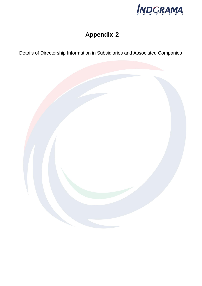

## **Appendix 2**

Details of Directorship Information in Subsidiaries and Associated Companies

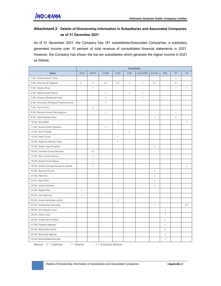## **Attachment 2 Details of Directorship Information in Subsidiaries and Associated Companies as of 31 December 2021**

As of 31 December 2021, the Company has 181 subsidiaries/Associated Companies; a subsidiary generated income over 10 percent of total revenue of consolidated financial statements in 2021. However, the Company has shown the top ten subsidiaries which generate the higher income in 2021 as follows:

|                                          | Subsidiaries                                              |                                  |                                  |                                                           |                                  |                                  |                                                           |                                  |                                  |                                                                                                         |
|------------------------------------------|-----------------------------------------------------------|----------------------------------|----------------------------------|-----------------------------------------------------------|----------------------------------|----------------------------------|-----------------------------------------------------------|----------------------------------|----------------------------------|---------------------------------------------------------------------------------------------------------|
| Name                                     | <b>IVOX</b>                                               | <b>IDPIPL</b>                    | <b>IVLMX</b>                     | <b>IVQS</b>                                               | <b>IVXP</b>                      | <b>ALPHAPET</b>                  | <b>AVGOL</b>                                              | <b>IRSL</b>                      | P                                | <b>IVE</b>                                                                                              |
| 1) Mr. Yashovardhan Lohia                |                                                           |                                  |                                  |                                                           |                                  |                                  |                                                           |                                  | $\ensuremath{\mathnormal{/\!/}}$ |                                                                                                         |
| 2) Mr. Dilip Kumar Agarwal               | $\frac{1}{2}$                                             | $^{\prime\prime}$                | $X,$ //                          | $X,$ //                                                   | $\sqrt{ }$                       | $\sqrt{}$                        | $X,$ //                                                   |                                  | $X,$ //                          |                                                                                                         |
| 3) Mr. Sanjay Ahuja                      |                                                           | $\ensuremath{\mathnormal{/\!/}}$ |                                  |                                                           |                                  |                                  |                                                           |                                  | $\frac{1}{2}$                    | $\sqrt{}$                                                                                               |
| 4) Mr. Satyanarayan Mohta                |                                                           |                                  | $\ensuremath{\mathnormal{/\!/}}$ |                                                           | $\frac{1}{2}$                    | $\sqrt{ }$                       |                                                           |                                  |                                  |                                                                                                         |
| 5) Mr. Hussam Mohamed Awad               |                                                           |                                  | $\ensuremath{\mathnormal{/\!/}}$ |                                                           |                                  | $\ensuremath{\mathnormal{/\!/}}$ |                                                           |                                  |                                  |                                                                                                         |
| 6) Mr. Srinivasan Andagudi Prabhushankar |                                                           |                                  | $\ensuremath{\mathnormal{/\!/}}$ |                                                           |                                  |                                  |                                                           |                                  |                                  |                                                                                                         |
| 7) Mr. Vipin Kumar                       |                                                           | $\ensuremath{\mathnormal{/\!/}}$ |                                  |                                                           |                                  |                                  |                                                           |                                  |                                  |                                                                                                         |
| 8) Mr. Ramesh Kumar Narsinghpura         |                                                           |                                  | $\ensuremath{\mathnormal{/\!/}}$ |                                                           |                                  |                                  |                                                           |                                  | $\ensuremath{\mathnormal{/\!/}}$ |                                                                                                         |
| 9) Mr. Ashok Kumar Arora                 |                                                           |                                  |                                  |                                                           |                                  |                                  | $\mathcal{U}% _{M_{1},M_{2}}^{\alpha,\beta}(\varepsilon)$ |                                  | $\ensuremath{\mathnormal{/\!/}}$ |                                                                                                         |
| 10) Mr. Sunil Baldi                      |                                                           |                                  |                                  | $\ensuremath{\mathnormal{/\!/}}$                          |                                  |                                  |                                                           |                                  |                                  | $\ensuremath{\mathnormal{}}\xspace/\ensuremath{\mathnormal{}}\xspace$                                   |
| 11) Mr. Anand Kumar Agrawal              |                                                           |                                  | $^{\prime\prime}$                |                                                           |                                  |                                  |                                                           |                                  |                                  |                                                                                                         |
| 12) Mr. Sunil Fotedar                    |                                                           |                                  |                                  |                                                           | $\ensuremath{\mathnormal{/\!/}}$ |                                  |                                                           |                                  |                                  |                                                                                                         |
| 13) Mr. Paolo Clivati                    |                                                           |                                  |                                  | $\mathcal{U}% _{M_{1},M_{2}}^{\alpha,\beta}(\varepsilon)$ |                                  |                                  |                                                           |                                  |                                  |                                                                                                         |
| 14) Mr. Alejandro Martinez Rubi          |                                                           |                                  |                                  | $\ensuremath{\mathnormal{/\!/}}$                          |                                  |                                  |                                                           |                                  |                                  |                                                                                                         |
| 15) Mr. Shishir Vijay Pimplikar          |                                                           |                                  |                                  |                                                           |                                  |                                  | $\mathcal{U}% _{M_{1},M_{2}}^{\alpha,\beta}(\varepsilon)$ |                                  |                                  |                                                                                                         |
| 16) Mr. Chandra Kumar Dhanuka            |                                                           | $X,$ //                          |                                  |                                                           |                                  |                                  |                                                           |                                  |                                  |                                                                                                         |
| 17) Mr. Rajiv Kumar Sharma               |                                                           | $\ensuremath{\mathnormal{/\!/}}$ |                                  |                                                           |                                  |                                  |                                                           |                                  |                                  |                                                                                                         |
| 18) Mr. Brijesh Kumar Biyani             |                                                           | $\ensuremath{\mathnormal{/\!/}}$ |                                  |                                                           |                                  |                                  |                                                           |                                  |                                  |                                                                                                         |
| 19) Mr. Ananta Venkata Ravikanth Gosala  |                                                           | $\ensuremath{\mathnormal{/\!/}}$ |                                  |                                                           |                                  |                                  |                                                           |                                  |                                  | $\ensuremath{\mathnormal{}}\xspace/\ensuremath{\mathnormal{}}\xspace/\ensuremath{\mathnormal{}}\xspace$ |
| 20) Mr. Shachar Rachim                   |                                                           |                                  |                                  |                                                           |                                  |                                  | $\ensuremath{\mathnormal{/\!/}}$                          |                                  |                                  |                                                                                                         |
| 21) Ms. Rita Avni                        |                                                           |                                  |                                  |                                                           |                                  |                                  | $\mathcal{U}% _{M_{1},M_{2}}^{\alpha,\beta}(\varepsilon)$ |                                  |                                  |                                                                                                         |
| 22) Mr. Rami Entin                       |                                                           |                                  |                                  |                                                           |                                  |                                  | $\ensuremath{\mathnormal{/\!/}}$                          |                                  |                                  |                                                                                                         |
| 23) Mr. Jacob Goldman                    |                                                           |                                  |                                  |                                                           |                                  |                                  | $\ensuremath{\mathnormal{/\!/}}$                          |                                  |                                  |                                                                                                         |
| 24) Mr. Alastair Port                    | $\ensuremath{\mathnormal{/\!/}}$                          |                                  |                                  |                                                           |                                  |                                  |                                                           |                                  |                                  |                                                                                                         |
| 25) Mr. Joel Saltzman                    | $\mathcal{U}% _{M_{1},M_{2}}^{\alpha,\beta}(\varepsilon)$ |                                  |                                  |                                                           |                                  |                                  |                                                           |                                  |                                  |                                                                                                         |
| 26) Mr. Kumar Sambhaw Ladha              |                                                           |                                  |                                  | $\ensuremath{\mathnormal{/\!/}}$                          |                                  |                                  |                                                           |                                  |                                  |                                                                                                         |
| 27) Mr. Christopher Kenneally            |                                                           |                                  |                                  |                                                           |                                  |                                  | $\frac{1}{2}$                                             |                                  |                                  | $X,$ //                                                                                                 |
| 28) Mr. Om Prakash Lohia                 |                                                           |                                  |                                  |                                                           |                                  |                                  |                                                           | $\ensuremath{\mathnormal{/\!/}}$ |                                  |                                                                                                         |
| 29) Mr. Vishal Lohia                     |                                                           |                                  |                                  |                                                           |                                  |                                  |                                                           | $\ensuremath{\mathnormal{/\!/}}$ |                                  |                                                                                                         |
| 30) Mr. Suman Jyoti Khaitan              |                                                           |                                  |                                  |                                                           |                                  |                                  |                                                           | $^{\prime\prime}$                |                                  |                                                                                                         |
| 31) Ms. Ranjana Agarwal                  |                                                           |                                  |                                  |                                                           |                                  |                                  |                                                           | $\ensuremath{\mathnormal{/\!/}}$ |                                  |                                                                                                         |
| 32) Mr. Dhanendra Kumar                  |                                                           |                                  |                                  |                                                           |                                  |                                  |                                                           | $\ensuremath{\mathnormal{/\!/}}$ |                                  |                                                                                                         |
| 33) Mr. Dharmpal Agarwal                 |                                                           |                                  |                                  |                                                           |                                  |                                  |                                                           | $\frac{1}{2}$                    |                                  |                                                                                                         |
| 34) Mr Hemant Balkrishna Bal             |                                                           |                                  |                                  |                                                           |                                  |                                  |                                                           | $\ensuremath{\mathnormal{/\!/}}$ |                                  |                                                                                                         |

Remark:  $X = Chairman$  / = Director // = Executive Director